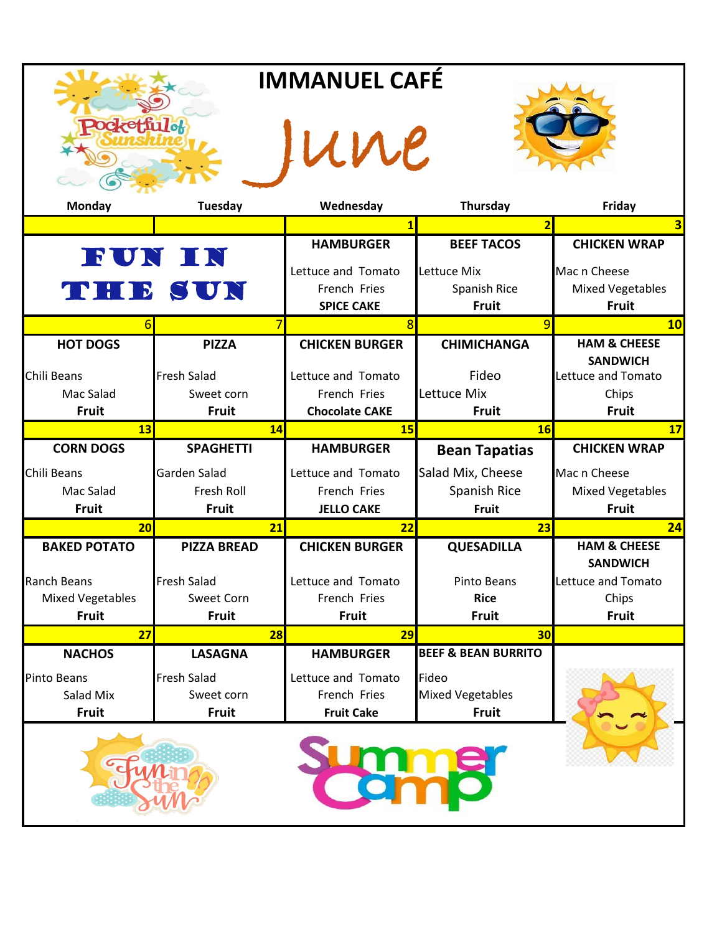| <b>IMMANUEL CAFÉ</b>    |                    |                       |                                |                                       |  |  |
|-------------------------|--------------------|-----------------------|--------------------------------|---------------------------------------|--|--|
| <b>Pocketfulof</b>      |                    |                       | une                            |                                       |  |  |
| <b>Monday</b>           | <b>Tuesday</b>     | Wednesday             | Thursday                       | Friday                                |  |  |
|                         |                    | $\mathbf{1}$          | $\overline{2}$                 | 3                                     |  |  |
|                         |                    | <b>HAMBURGER</b>      | <b>BEEF TACOS</b>              | <b>CHICKEN WRAP</b>                   |  |  |
|                         | FUN IN             | Lettuce and Tomato    | Lettuce Mix                    | Mac n Cheese                          |  |  |
|                         | THE SUN            | French Fries          | Spanish Rice                   | <b>Mixed Vegetables</b>               |  |  |
|                         |                    | <b>SPICE CAKE</b>     | <b>Fruit</b>                   | <b>Fruit</b>                          |  |  |
| 6                       |                    | 8                     | 9                              | 10                                    |  |  |
| <b>HOT DOGS</b>         | <b>PIZZA</b>       | <b>CHICKEN BURGER</b> | <b>CHIMICHANGA</b>             | <b>HAM &amp; CHEESE</b>               |  |  |
| Chili Beans             | <b>Fresh Salad</b> | Lettuce and Tomato    | Fideo                          | <b>SANDWICH</b><br>Lettuce and Tomato |  |  |
| Mac Salad               | Sweet corn         | French Fries          | Lettuce Mix                    | Chips                                 |  |  |
| <b>Fruit</b>            | <b>Fruit</b>       | <b>Chocolate CAKE</b> | <b>Fruit</b>                   | <b>Fruit</b>                          |  |  |
| 13                      | 14                 | 15                    | 16                             | 17                                    |  |  |
| <b>CORN DOGS</b>        | <b>SPAGHETTI</b>   | <b>HAMBURGER</b>      | <b>Bean Tapatias</b>           | <b>CHICKEN WRAP</b>                   |  |  |
| Chili Beans             | Garden Salad       | Lettuce and Tomato    | Salad Mix, Cheese              | Mac n Cheese                          |  |  |
| Mac Salad               | Fresh Roll         | French Fries          | Spanish Rice                   | <b>Mixed Vegetables</b>               |  |  |
| <b>Fruit</b>            | <b>Fruit</b>       | <b>JELLO CAKE</b>     | <b>Fruit</b>                   | <b>Fruit</b>                          |  |  |
| 20                      | 21                 | 22                    | 23                             | 24                                    |  |  |
| <b>BAKED POTATO</b>     | <b>PIZZA BREAD</b> | <b>CHICKEN BURGER</b> | <b>QUESADILLA</b>              | <b>HAM &amp; CHEESE</b>               |  |  |
| <b>Ranch Beans</b>      | <b>Fresh Salad</b> | Lettuce and Tomato    | Pinto Beans                    | <b>SANDWICH</b><br>Lettuce and Tomato |  |  |
| <b>Mixed Vegetables</b> | Sweet Corn         | French Fries          | <b>Rice</b>                    | Chips                                 |  |  |
| <b>Fruit</b>            | <b>Fruit</b>       | Fruit                 | <b>Fruit</b>                   | Fruit                                 |  |  |
| 27                      | 28                 | 29                    | 30 <sub>l</sub>                |                                       |  |  |
| <b>NACHOS</b>           | <b>LASAGNA</b>     | <b>HAMBURGER</b>      | <b>BEEF &amp; BEAN BURRITO</b> |                                       |  |  |
| <b>Pinto Beans</b>      | <b>Fresh Salad</b> | Lettuce and Tomato    | Fideo                          |                                       |  |  |
| Salad Mix               | Sweet corn         | French Fries          | <b>Mixed Vegetables</b>        |                                       |  |  |
| Fruit                   | <b>Fruit</b>       | <b>Fruit Cake</b>     | <b>Fruit</b>                   |                                       |  |  |
|                         |                    |                       |                                |                                       |  |  |